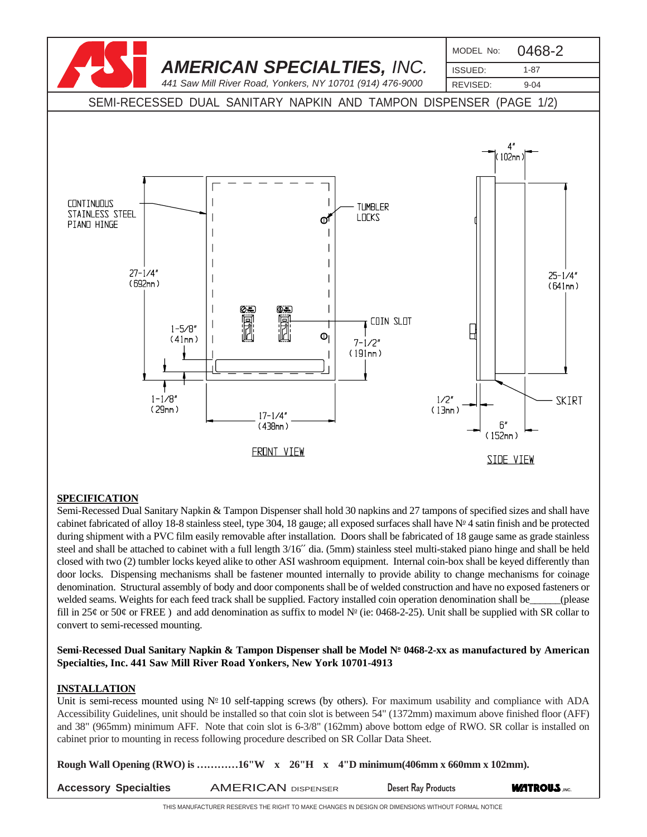

### **SPECIFICATION**

Semi-Recessed Dual Sanitary Napkin & Tampon Dispenser shall hold 30 napkins and 27 tampons of specified sizes and shall have cabinet fabricated of alloy 18-8 stainless steel, type 304, 18 gauge; all exposed surfaces shall have  $N<sup>2</sup>$  4 satin finish and be protected during shipment with a PVC film easily removable after installation. Doors shall be fabricated of 18 gauge same as grade stainless steel and shall be attached to cabinet with a full length 3/16′′ dia. (5mm) stainless steel multi-staked piano hinge and shall be held closed with two (2) tumbler locks keyed alike to other ASI washroom equipment. Internal coin-box shall be keyed differently than door locks. Dispensing mechanisms shall be fastener mounted internally to provide ability to change mechanisms for coinage denomination. Structural assembly of body and door components shall be of welded construction and have no exposed fasteners or welded seams. Weights for each feed track shall be supplied. Factory installed coin operation denomination shall be  $\qquad \qquad$  (please fill in 25¢ or 50¢ or FREE) and add denomination as suffix to model  $N<sup>°</sup>$  (ie: 0468-2-25). Unit shall be supplied with SR collar to convert to semi-recessed mounting.

#### **Semi**-**Recessed Dual Sanitary Napkin & Tampon Dispenser shall be Model No 0468-2-xx as manufactured by American Specialties, Inc. 441 Saw Mill River Road Yonkers, New York 10701-4913**

#### **INSTALLATION**

Unit is semi-recess mounted using  $N^{\circ}$  10 self-tapping screws (by others). For maximum usability and compliance with ADA Accessibility Guidelines, unit should be installed so that coin slot is between 54" (1372mm) maximum above finished floor (AFF) and 38" (965mm) minimum AFF. Note that coin slot is 6-3/8" (162mm) above bottom edge of RWO. SR collar is installed on cabinet prior to mounting in recess following procedure described on SR Collar Data Sheet.

**Rough Wall Opening (RWO) is …………16"W x 26"H x 4"D minimum(406mm x 660mm x 102mm).**

| <b>Accessory Specialties</b> | <b>AMERICAN DISPENSER</b> | <b>Desert Ray Products</b> | <b>WATROUS ,INC.</b> |
|------------------------------|---------------------------|----------------------------|----------------------|
|                              |                           |                            |                      |